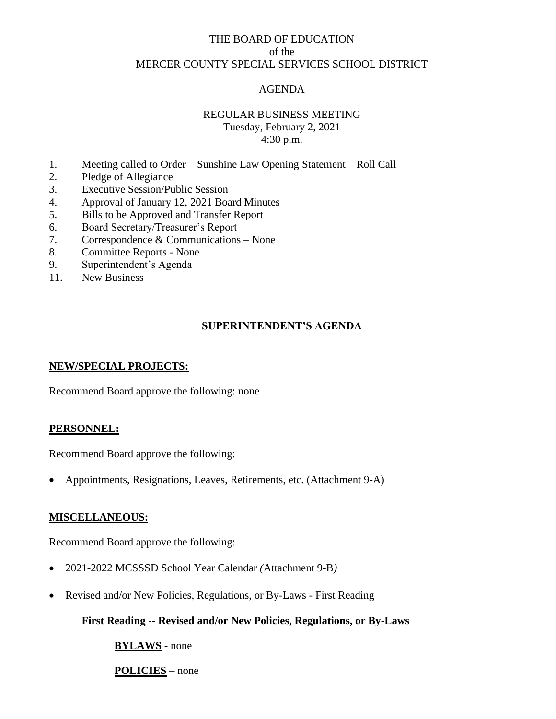# THE BOARD OF EDUCATION of the MERCER COUNTY SPECIAL SERVICES SCHOOL DISTRICT

## AGENDA

## REGULAR BUSINESS MEETING

Tuesday, February 2, 2021 4:30 p.m.

- 1. Meeting called to Order Sunshine Law Opening Statement Roll Call
- 2. Pledge of Allegiance
- 3. Executive Session/Public Session
- 4. Approval of January 12, 2021 Board Minutes
- 5. Bills to be Approved and Transfer Report
- 6. Board Secretary/Treasurer's Report
- 7. Correspondence & Communications None
- 8. Committee Reports None
- 9. Superintendent's Agenda
- 11. New Business

## **SUPERINTENDENT'S AGENDA**

### **NEW/SPECIAL PROJECTS:**

Recommend Board approve the following: none

### **PERSONNEL:**

Recommend Board approve the following:

• Appointments, Resignations, Leaves, Retirements, etc. (Attachment 9-A)

### **MISCELLANEOUS:**

Recommend Board approve the following:

- 2021-2022 MCSSSD School Year Calendar *(*Attachment 9-B*)*
- Revised and/or New Policies, Regulations, or By-Laws First Reading

# **First Reading -- Revised and/or New Policies, Regulations, or By-Laws**

**BYLAWS -** none

**POLICIES** – none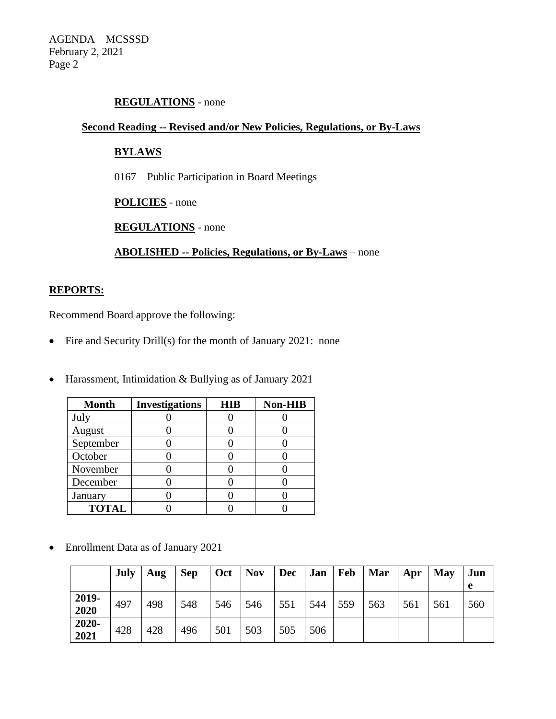# **REGULATIONS** - none

#### **Second Reading -- Revised and/or New Policies, Regulations, or By-Laws**

# **BYLAWS**

0167 Public Participation in Board Meetings

**POLICIES** - none

**REGULATIONS** - none

**ABOLISHED -- Policies, Regulations, or By-Laws** – none

#### **REPORTS:**

Recommend Board approve the following:

- Fire and Security Drill(s) for the month of January 2021: none
- Harassment, Intimidation & Bullying as of January 2021

| <b>Month</b> | <b>Investigations</b> | <b>HIB</b> | <b>Non-HIB</b> |
|--------------|-----------------------|------------|----------------|
| July         |                       |            |                |
| August       |                       |            |                |
| September    |                       |            |                |
| October      |                       |            |                |
| November     |                       |            |                |
| December     |                       |            |                |
| January      |                       |            |                |
| <b>TOTAL</b> |                       |            |                |

• Enrollment Data as of January 2021

|               | July | Aug | <b>Sep</b> | Oct | <b>Nov</b> | Dec | Jan | Feb | <b>Mar</b> | Apr | <b>May</b> | Jun<br>e |
|---------------|------|-----|------------|-----|------------|-----|-----|-----|------------|-----|------------|----------|
| 2019-<br>2020 | 497  | 498 | 548        | 546 | 546        | 551 | 544 | 559 | 563        | 561 | 561        | 560      |
| 2020-<br>2021 | 428  | 428 | 496        | 501 | 503        | 505 | 506 |     |            |     |            |          |